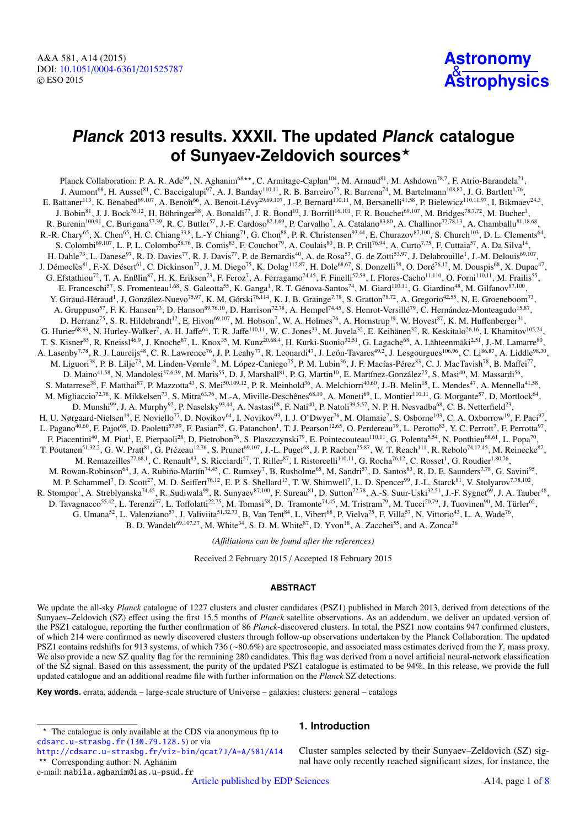A&A 581, A14 (2015) DOI: 10.1051/0004-6361/[201525787](http://dx.doi.org/10.1051/0004-6361/201525787) c ESO 2015

# **Astronomy** & **[Astrophysics](http://www.aanda.org)**

# **Planck 2013 results. XXXII. The updated Planck catalogue of Sunyaev-Zeldovich sources**?

Planck Collaboration: P. A. R. Ade<sup>99</sup>, N. Aghanim<sup>68\*\*</sup>, C. Armitage-Caplan<sup>104</sup>, M. Arnaud<sup>81</sup>, M. Ashdown<sup>78,7</sup>, F. Atrio-Barandela<sup>21</sup>, J. Aumont<sup>68</sup>, H. Aussel<sup>81</sup>, C. Baccigalupi<sup>97</sup>, A. J. Banday<sup>110,11</sup>, R. B. Barreiro<sup>75</sup>, R. Barrena<sup>74</sup>, M. Bartelmann<sup>108,87</sup>, J. G. Bartlett<sup>1,76</sup>, E. Battaner<sup>113</sup>, K. Benabed<sup>69,107</sup>, A. Benoît<sup>66</sup>, A. Benoit-Lévy<sup>29,69,107</sup>, J.-P. Bernard<sup>110,11</sup>, M. Bersanelli<sup>41,58</sup>, P. Bielewicz<sup>110,11,97</sup>, I. Bikmaev<sup>24,3</sup>, J. Bobin $^{81}$ , J. J. Bock $^{76,12}$ , H. Böhringer $^{88}$ , A. Bonaldi $^{77}$ , J. R. Bond $^{10}$ , J. Borrill $^{16,101}$ , F. R. Bouchet $^{69,107}$ , M. Bridges $^{78,7,72}$ , M. Bucher $^{1}$ , R. Burenin<sup>100,91</sup>, C. Burigana<sup>57,39</sup>, R. C. Butler<sup>57</sup>, J.-F. Cardoso<sup>82,1,69</sup>, P. Carvalho<sup>7</sup>, A. Catalano<sup>83,80</sup>, A. Challinor<sup>72,78,13</sup>, A. Chamballu<sup>81,18,68</sup>, R.-R. Chary<sup>65</sup>, X. Chen<sup>65</sup>, H. C. Chiang<sup>33,8</sup>, L.-Y Chiang<sup>71</sup>, G. Chon<sup>88</sup>, P. R. Christensen<sup>93,44</sup>, E. Churazov<sup>87,100</sup>, S. Church<sup>103</sup>, D. L. Clements<sup>64</sup>, S. Colombi<sup>69,107</sup>, L. P. L. Colombo<sup>28,76</sup>, B. Comis<sup>83</sup>, F. Couchot<sup>79</sup>, A. Coulais<sup>80</sup>, B. P. Crill<sup>76,94</sup>, A. Curto<sup>7,75</sup>, F. Cuttaia<sup>57</sup>, A. Da Silva<sup>14</sup>, H. Dahle<sup>73</sup>, L. Danese<sup>97</sup>, R. D. Davies<sup>77</sup>, R. J. Davis<sup>77</sup>, P. de Bernardis<sup>40</sup>, A. de Rosa<sup>57</sup>, G. de Zotti<sup>53,97</sup>, J. Delabrouille<sup>1</sup>, J.-M. Delouis<sup>69,107</sup>, J. Démoclès<sup>81</sup>, F.-X. Désert<sup>61</sup>, C. Dickinson<sup>77</sup>, J. M. Diego<sup>75</sup>, K. Dolag<sup>112,87</sup>, H. Dole<sup>68,67</sup>, S. Donzelli<sup>58</sup>, O. Doré<sup>76,12</sup>, M. Douspis<sup>68</sup>, X. Dupac<sup>47</sup>, G. Efstathiou<sup>72</sup>, T. A. Enßlin<sup>87</sup>, H. K. Eriksen<sup>73</sup>, F. Feroz<sup>7</sup>, A. Ferragamo<sup>74,45</sup>, F. Finelli<sup>57,59</sup>, I. Flores-Cacho<sup>11,110</sup>, O. Forni<sup>110,11</sup>, M. Frailis<sup>55</sup>, E. Franceschi<sup>57</sup>, S. Fromenteau<sup>1,68</sup>, S. Galeotta<sup>55</sup>, K. Ganga<sup>1</sup>, R. T. Génova-Santos<sup>74</sup>, M. Giard<sup>110,11</sup>, G. Giardino<sup>48</sup>, M. Gilfanov<sup>87,100</sup>, Y. Giraud-Héraud<sup>1</sup>, J. González-Nuevo<sup>75,97</sup>, K. M. Górski<sup>76,114</sup>, K. J. B. Grainge<sup>7,78</sup>, S. Gratton<sup>78,72</sup>, A. Gregorio<sup>42,55</sup>, N, E. Groeneboom<sup>73</sup>, A. Gruppuso<sup>57</sup>, F. K. Hansen<sup>73</sup>, D. Hanson<sup>89,76,10</sup>, D. Harrison<sup>72,78</sup>, A. Hempel<sup>74,45</sup>, S. Henrot-Versillé<sup>79</sup>, C. Hernández-Monteagudo<sup>15,87</sup>, D. Herranz<sup>75</sup>, S. R. Hildebrandt<sup>12</sup>, E. Hivon<sup>69,107</sup>, M. Hobson<sup>7</sup>, W. A. Holmes<sup>76</sup>, A. Hornstrup<sup>19</sup>, W. Hovest<sup>87</sup>, K. M. Huffenberger<sup>31</sup>, G. Hurier<sup>68,83</sup>, N. Hurley-Walker<sup>7</sup>, A. H. Jaffe<sup>64</sup>, T. R. Jaffe<sup>110,11</sup>, W. C. Jones<sup>33</sup>, M. Juvela<sup>32</sup>, E. Keihänen<sup>32</sup>, R. Keskitalo<sup>26,16</sup>, I. Khamitov<sup>105,24</sup>, T. S. Kisner $^{85}$ , R. Kneissl $^{46,9}$ , J. Knoche $^{87}$ , L. Knox $^{35}$ , M. Kunz $^{20,68,4}$ , H. Kurki-Suonio $^{32,51}$ , G. Lagache $^{68}$ , A. Lähteenmäki $^{2,51}$ , J.-M. Lamarre $^{80}$ , A. Lasenby<sup>7,78</sup>, R. J. Laureijs<sup>48</sup>, C. R. Lawrence<sup>76</sup>, J. P. Leahy<sup>77</sup>, R. Leonardi<sup>47</sup>, J. León-Tavares<sup>49,2</sup>, J. Lesgourgues<sup>106,96</sup>, C. Li<sup>86,87</sup>, A. Liddle<sup>98,30</sup>, M. Liguori<sup>38</sup>, P. B. Lilje<sup>73</sup>, M. Linden-Vørnle<sup>19</sup>, M. López-Caniego<sup>75</sup>, P. M. Lubin<sup>36</sup>, J. F. Macías-Pérez<sup>83</sup>, C. J. MacTavish<sup>78</sup>, B. Maffei<sup>77</sup>, D. Maino<sup>41,58</sup>, N. Mandolesi<sup>57,6,39</sup>, M. Maris<sup>55</sup>, D. J. Marshall<sup>81</sup>, P. G. Martin<sup>10</sup>, E. Martínez-González<sup>75</sup>, S. Masi<sup>40</sup>, M. Massardi<sup>56</sup>, S. Matarrese<sup>38</sup>, F. Matthai<sup>87</sup>, P. Mazzotta<sup>43</sup>, S. Mei<sup>50,109,12</sup>, P. R. Meinhold<sup>36</sup>, A. Melchiorri<sup>40,60</sup>, J.-B. Melin<sup>18</sup>, L. Mendes<sup>47</sup>, A. Mennella<sup>41,58</sup>, M. Migliaccio<sup>72,78</sup>, K. Mikkelsen<sup>73</sup>, S. Mitra<sup>63,76</sup>, M.-A. Miville-Deschênes<sup>68,10</sup>, A. Moneti<sup>69</sup>, L. Montier<sup>110,11</sup>, G. Morgante<sup>57</sup>, D. Mortlock<sup>64</sup>, D. Munshi<sup>99</sup>, J. A. Murphy<sup>92</sup>, P. Naselsky<sup>93,44</sup>, A. Nastasi<sup>68</sup>, F. Nati<sup>40</sup>, P. Natoli<sup>39,5,57</sup>, N. P. H. Nesvadba<sup>68</sup>, C. B. Netterfield<sup>23</sup>, H. U. Nørgaard-Nielsen<sup>19</sup>, F. Noviello<sup>77</sup>, D. Novikov<sup>64</sup>, I. Novikov<sup>93</sup>, I. J. O'Dwyer<sup>76</sup>, M. Olamaie<sup>7</sup>, S. Osborne<sup>103</sup>, C. A. Oxborrow<sup>19</sup>, F. Paci<sup>97</sup>, L. Pagano<sup>40,60</sup>, F. Pajot<sup>68</sup>, D. Paoletti<sup>57,59</sup>, F. Pasian<sup>55</sup>, G. Patanchon<sup>1</sup>, T. J. Pearson<sup>12,65</sup>, O. Perdereau<sup>79</sup>, L. Perotto<sup>83</sup>, Y. C. Perrott<sup>2</sup>, F. Perrotta<sup>97</sup>, F. Piacentini<sup>40</sup>, M. Piat<sup>1</sup>, E. Pierpaoli<sup>28</sup>, D. Pietrobon<sup>76</sup>, S. Plaszczynski<sup>79</sup>, E. Pointecouteau<sup>110,11</sup>, G. Polenta<sup>5,54</sup>, N. Ponthieu<sup>68,61</sup>, L. Popa<sup>70</sup>, T. Poutanen<sup>51,32,2</sup>, G. W. Pratt<sup>81</sup>, G. Prézeau<sup>12,76</sup>, S. Prunet<sup>69,107</sup>, J.-L. Puget<sup>68</sup>, J. P. Rachen<sup>25,87</sup>, W. T. Reach<sup>111</sup>, R. Rebolo<sup>74,17,45</sup>, M. Reinecke<sup>87</sup>, M. Remazeilles<sup>77,68,1</sup>, C. Renault<sup>83</sup>, S. Ricciardi<sup>57</sup>, T. Riller<sup>87</sup>, I. Ristorcelli<sup>110,11</sup>, G. Rocha<sup>76,12</sup>, C. Rosset<sup>1</sup>, G. Roudier<sup>1,80,76</sup>, M. Rowan-Robinson<sup>64</sup>, J. A. Rubiño-Martín<sup>74,45</sup>, C. Rumsey<sup>7</sup>, B. Rusholme<sup>65</sup>, M. Sandri<sup>57</sup>, D. Santos<sup>83</sup>, R. D. E. Saunders<sup>7,78</sup>, G. Savini<sup>95</sup>, M. P. Schammel<sup>7</sup>, D. Scott<sup>27</sup>, M. D. Seiffert<sup>76,12</sup>, E. P. S. Shellard<sup>13</sup>, T. W. Shimwell<sup>7</sup>, L. D. Spencer<sup>99</sup>, J.-L. Starck<sup>81</sup>, V. Stolyarov<sup>7,78,102</sup>, R. Stompor<sup>1</sup>, A. Streblyanska<sup>74,45</sup>, R. Sudiwala<sup>99</sup>, R. Sunyaev<sup>87,100</sup>, F. Sureau<sup>81</sup>, D. Sutton<sup>72,78</sup>, A.-S. Suur-Uski<sup>32,51</sup>, J.-F. Sygnet<sup>69</sup>, J. A. Tauber<sup>48</sup>, D. Tavagnacco<sup>55,42</sup>, L. Terenzi<sup>57</sup>, L. Toffolatti<sup>22,75</sup>, M. Tomasi<sup>58</sup>, D. Tramonte<sup>74,45</sup>, M. Tristram<sup>79</sup>, M. Tucci<sup>20,79</sup>, J. Tuovinen<sup>90</sup>, M. Türler<sup>62</sup>, G. Umana<sup>52</sup>, L. Valenziano<sup>57</sup>, J. Valiviita<sup>51,32,73</sup>, B. Van Tent<sup>84</sup>, L. Vibert<sup>68</sup>, P. Vielva<sup>75</sup>, F. Villa<sup>57</sup>, N. Vittorio<sup>43</sup>, L. A. Wade<sup>76</sup>, B. D. Wandelt<sup>69,107,37</sup>, M. White<sup>34</sup>, S. D. M. White<sup>87</sup>, D. Yvon<sup>18</sup>, A. Zacchei<sup>55</sup>, and A. Zonca<sup>36</sup>

*(A*ffi*liations can be found after the references)*

Received 2 February 2015 / Accepted 18 February 2015

#### **ABSTRACT**

We update the all-sky *Planck* catalogue of 1227 clusters and cluster candidates (PSZ1) published in March 2013, derived from detections of the Sunyaev–Zeldovich (SZ) effect using the first 15.5 months of *Planck* satellite observations. As an addendum, we deliver an updated version of the PSZ1 catalogue, reporting the further confirmation of 86 *Planck*-discovered clusters. In total, the PSZ1 now contains 947 confirmed clusters, of which 214 were confirmed as newly discovered clusters through follow-up observations undertaken by the Planck Collaboration. The updated PSZ1 contains redshifts for 913 systems, of which 736 (∼80.6%) are spectroscopic, and associated mass estimates derived from the *<sup>Y</sup><sup>z</sup>* mass proxy. We also provide a new SZ quality flag for the remaining 280 candidates. This flag was derived from a novel artificial neural-network classification of the SZ signal. Based on this assessment, the purity of the updated PSZ1 catalogue is estimated to be 94%. In this release, we provide the full updated catalogue and an additional readme file with further information on the *Planck* SZ detections.

**Key words.** errata, addenda – large-scale structure of Universe – galaxies: clusters: general – catalogs

<http://cdsarc.u-strasbg.fr/viz-bin/qcat?J/A+A/581/A14> \*\* Corresponding author: N. Aghanim

e-mail: nabila.aghanim@ias.u-psud.fr

# **1. Introduction**

Cluster samples selected by their Sunyaev–Zeldovich (SZ) signal have only recently reached significant sizes, for instance, the

[Article published by EDP Sciences](http://www.edpsciences.org) A14, page 1 of [8](#page-7-0)

The catalogue is only available at the CDS via anonymous ftp to [cdsarc.u-strasbg.fr](http://cdsarc.u-strasbg.fr) ([130.79.128.5](ftp://130.79.128.5)) or via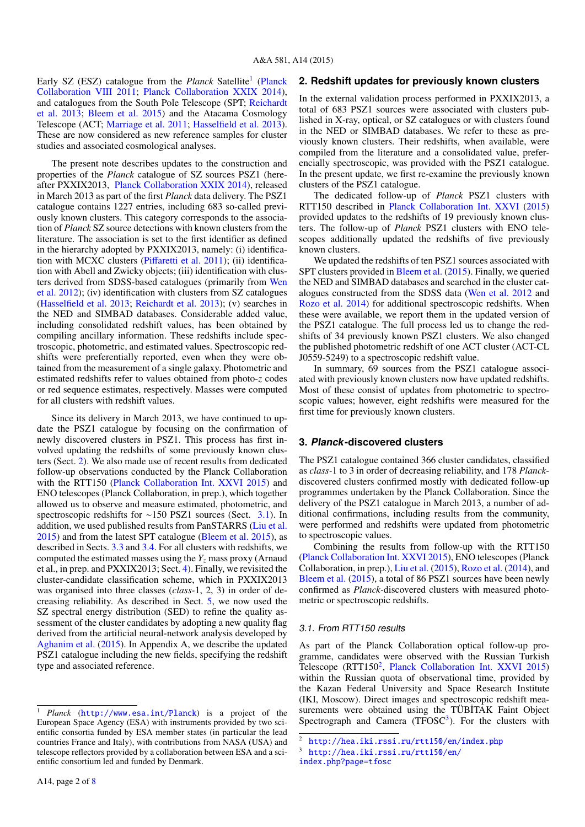Early SZ (ESZ) catalogue from the *Planck* Satellite<sup>[1](#page-1-0)</sup> [\(Planck](#page-6-0) [Collaboration VIII](#page-6-0) [2011;](#page-6-0) [Planck Collaboration XXIX](#page-6-1) [2014\)](#page-6-1), and catalogues from the South Pole Telescope (SPT; [Reichardt](#page-6-2) [et al.](#page-6-2) [2013;](#page-6-2) [Bleem et al.](#page-5-0) [2015\)](#page-5-0) and the Atacama Cosmology Telescope (ACT; [Marriage et al.](#page-6-3) [2011;](#page-6-3) [Hasselfield et al.](#page-6-4) [2013\)](#page-6-4). These are now considered as new reference samples for cluster studies and associated cosmological analyses.

The present note describes updates to the construction and properties of the *Planck* catalogue of SZ sources PSZ1 (hereafter PXXIX2013, [Planck Collaboration XXIX](#page-6-1) [2014\)](#page-6-1), released in March 2013 as part of the first *Planck* data delivery. The PSZ1 catalogue contains 1227 entries, including 683 so-called previously known clusters. This category corresponds to the association of *Planck* SZ source detections with known clusters from the literature. The association is set to the first identifier as defined in the hierarchy adopted by PXXIX2013, namely: (i) identification with MCXC clusters (Piff[aretti et al.](#page-6-5) [2011\)](#page-6-5); (ii) identification with Abell and Zwicky objects; (iii) identification with clusters derived from SDSS-based catalogues (primarily from [Wen](#page-6-6) [et al.](#page-6-6) [2012\)](#page-6-6); (iv) identification with clusters from SZ catalogues [\(Hasselfield et al.](#page-6-4) [2013;](#page-6-4) [Reichardt et al.](#page-6-2) [2013\)](#page-6-2); (v) searches in the NED and SIMBAD databases. Considerable added value, including consolidated redshift values, has been obtained by compiling ancillary information. These redshifts include spectroscopic, photometric, and estimated values. Spectroscopic redshifts were preferentially reported, even when they were obtained from the measurement of a single galaxy. Photometric and estimated redshifts refer to values obtained from photo-*z* codes or red sequence estimates, respectively. Masses were computed for all clusters with redshift values.

Since its delivery in March 2013, we have continued to update the PSZ1 catalogue by focusing on the confirmation of newly discovered clusters in PSZ1. This process has first involved updating the redshifts of some previously known clusters (Sect. [2\)](#page-1-1). We also made use of recent results from dedicated follow-up observations conducted by the Planck Collaboration with the RTT150 [\(Planck Collaboration Int. XXVI](#page-6-7) [2015\)](#page-6-7) and ENO telescopes (Planck Collaboration, in prep.), which together allowed us to observe and measure estimated, photometric, and spectroscopic redshifts for ∼150 PSZ1 sources (Sect. [3.1\)](#page-1-2). In addition, we used published results from PanSTARRS [\(Liu et al.](#page-6-8) [2015\)](#page-6-8) and from the latest SPT catalogue [\(Bleem et al.](#page-5-0) [2015\)](#page-5-0), as described in Sects. [3.3](#page-2-0) and [3.4.](#page-2-1) For all clusters with redshifts, we computed the estimated masses using the  $Y<sub>z</sub>$  mass proxy (Arnaud et al., in prep. and PXXIX2013; Sect. [4\)](#page-2-2). Finally, we revisited the cluster-candidate classification scheme, which in PXXIX2013 was organised into three classes (*class-*1, 2, 3) in order of decreasing reliability. As described in Sect. [5,](#page-2-3) we now used the SZ spectral energy distribution (SED) to refine the quality assessment of the cluster candidates by adopting a new quality flag derived from the artificial neural-network analysis developed by [Aghanim et al.](#page-5-1) [\(2015\)](#page-5-1). In Appendix A, we describe the updated PSZ1 catalogue including the new fields, specifying the redshift type and associated reference.

# <span id="page-1-1"></span>**2. Redshift updates for previously known clusters**

In the external validation process performed in PXXIX2013, a total of 683 PSZ1 sources were associated with clusters published in X-ray, optical, or SZ catalogues or with clusters found in the NED or SIMBAD databases. We refer to these as previously known clusters. Their redshifts, when available, were compiled from the literature and a consolidated value, preferencially spectroscopic, was provided with the PSZ1 catalogue. In the present update, we first re-examine the previously known clusters of the PSZ1 catalogue.

The dedicated follow-up of *Planck* PSZ1 clusters with RTT150 described in [Planck Collaboration Int. XXVI](#page-6-7) [\(2015\)](#page-6-7) provided updates to the redshifts of 19 previously known clusters. The follow-up of *Planck* PSZ1 clusters with ENO telescopes additionally updated the redshifts of five previously known clusters.

We updated the redshifts of ten PSZ1 sources associated with SPT clusters provided in [Bleem et al.](#page-5-0) [\(2015\)](#page-5-0). Finally, we queried the NED and SIMBAD databases and searched in the cluster catalogues constructed from the SDSS data [\(Wen et al.](#page-6-6) [2012](#page-6-6) and [Rozo et al.](#page-6-9) [2014\)](#page-6-9) for additional spectroscopic redshifts. When these were available, we report them in the updated version of the PSZ1 catalogue. The full process led us to change the redshifts of 34 previously known PSZ1 clusters. We also changed the published photometric redshift of one ACT cluster (ACT-CL J0559-5249) to a spectroscopic redshift value.

In summary, 69 sources from the PSZ1 catalogue associated with previously known clusters now have updated redshifts. Most of these consist of updates from photometric to spectroscopic values; however, eight redshifts were measured for the first time for previously known clusters.

#### **3. Planck-discovered clusters**

The PSZ1 catalogue contained 366 cluster candidates, classified as *class-*1 to 3 in order of decreasing reliability, and 178 *Planck*discovered clusters confirmed mostly with dedicated follow-up programmes undertaken by the Planck Collaboration. Since the delivery of the PSZ1 catalogue in March 2013, a number of additional confirmations, including results from the community, were performed and redshifts were updated from photometric to spectroscopic values.

Combining the results from follow-up with the RTT150 [\(Planck Collaboration Int. XXVI](#page-6-7) [2015\)](#page-6-7), ENO telescopes (Planck Collaboration, in prep.), [Liu et al.](#page-6-8) [\(2015\)](#page-6-8), [Rozo et al.](#page-6-9) [\(2014\)](#page-6-9), and [Bleem et al.](#page-5-0) [\(2015\)](#page-5-0), a total of 86 PSZ1 sources have been newly confirmed as *Planck-*discovered clusters with measured photometric or spectroscopic redshifts.

#### <span id="page-1-4"></span><span id="page-1-3"></span><span id="page-1-2"></span>3.1. From RTT150 results

As part of the Planck Collaboration optical follow-up programme, candidates were observed with the Russian Turkish Telescope (RTT150<sup>[2](#page-1-3)</sup>, [Planck Collaboration Int. XXVI](#page-6-7) [2015\)](#page-6-7) within the Russian quota of observational time, provided by the Kazan Federal University and Space Research Institute (IKI, Moscow). Direct images and spectroscopic redshift measurements were obtained using the TÜBİTAK Faint Object Spectrograph and Camera ( $T\bar{F}OSC^3$  $T\bar{F}OSC^3$ ). For the clusters with

<span id="page-1-0"></span>Planck (<http://www.esa.int/Planck>) is a project of the European Space Agency (ESA) with instruments provided by two scientific consortia funded by ESA member states (in particular the lead countries France and Italy), with contributions from NASA (USA) and telescope reflectors provided by a collaboration between ESA and a scientific consortium led and funded by Denmark.

<sup>2</sup> <http://hea.iki.rssi.ru/rtt150/en/index.php>

<sup>3</sup> <http://hea.iki.rssi.ru/rtt150/en/>

<index.php?page=tfosc>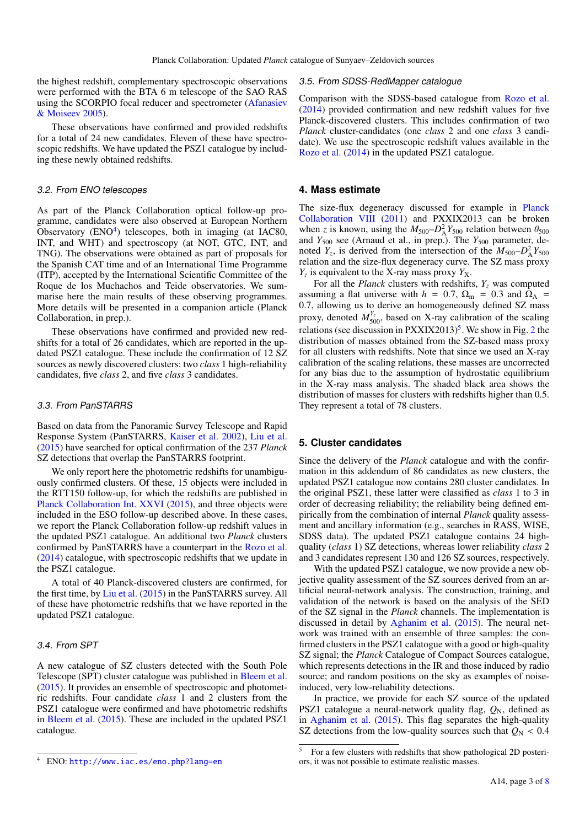the highest redshift, complementary spectroscopic observations were performed with the BTA 6 m telescope of the SAO RAS using the SCORPIO focal reducer and spectrometer [\(Afanasiev](#page-5-2) [& Moiseev](#page-5-2) [2005\)](#page-5-2).

These observations have confirmed and provided redshifts for a total of 24 new candidates. Eleven of these have spectroscopic redshifts. We have updated the PSZ1 catalogue by including these newly obtained redshifts.

#### 3.2. From ENO telescopes

As part of the Planck Collaboration optical follow-up programme, candidates were also observed at European Northern Observatory  $(ENO<sup>4</sup>)$  $(ENO<sup>4</sup>)$  $(ENO<sup>4</sup>)$  telescopes, both in imaging (at IAC80, INT, and WHT) and spectroscopy (at NOT, GTC, INT, and TNG). The observations were obtained as part of proposals for the Spanish CAT time and of an International Time Programme (ITP), accepted by the International Scientific Committee of the Roque de los Muchachos and Teide observatories. We summarise here the main results of these observing programmes. More details will be presented in a companion article (Planck Collaboration, in prep.).

These observations have confirmed and provided new redshifts for a total of 26 candidates, which are reported in the updated PSZ1 catalogue. These include the confirmation of 12 SZ sources as newly discovered clusters: two *class* 1 high-reliability candidates, five *class* 2, and five *class* 3 candidates.

#### <span id="page-2-0"></span>3.3. From PanSTARRS

Based on data from the Panoramic Survey Telescope and Rapid Response System (PanSTARRS, [Kaiser et al.](#page-6-10) [2002\)](#page-6-10), [Liu et al.](#page-6-8) [\(2015\)](#page-6-8) have searched for optical confirmation of the 237 *Planck* SZ detections that overlap the PanSTARRS footprint.

We only report here the photometric redshifts for unambiguously confirmed clusters. Of these, 15 objects were included in the RTT150 follow-up, for which the redshifts are published in [Planck Collaboration Int. XXVI](#page-6-7) [\(2015\)](#page-6-7), and three objects were included in the ESO follow-up described above. In these cases, we report the Planck Collaboration follow-up redshift values in the updated PSZ1 catalogue. An additional two *Planck* clusters confirmed by PanSTARRS have a counterpart in the [Rozo et al.](#page-6-9) [\(2014\)](#page-6-9) catalogue, with spectroscopic redshifts that we update in the PSZ1 catalogue.

A total of 40 Planck-discovered clusters are confirmed, for the first time, by [Liu et al.](#page-6-8) [\(2015\)](#page-6-8) in the PanSTARRS survey. All of these have photometric redshifts that we have reported in the updated PSZ1 catalogue.

#### <span id="page-2-4"></span><span id="page-2-1"></span>3.4. From SPT

A new catalogue of SZ clusters detected with the South Pole Telescope (SPT) cluster catalogue was published in [Bleem et al.](#page-5-0) [\(2015\)](#page-5-0). It provides an ensemble of spectroscopic and photometric redshifts. Four candidate *class* 1 and 2 clusters from the PSZ1 catalogue were confirmed and have photometric redshifts in [Bleem et al.](#page-5-0) [\(2015\)](#page-5-0). These are included in the updated PSZ1 catalogue.

# <sup>4</sup> ENO: <http://www.iac.es/eno.php?lang=en>

#### 3.5. From SDSS-RedMapper catalogue

Comparison with the SDSS-based catalogue from [Rozo et al.](#page-6-9) [\(2014\)](#page-6-9) provided confirmation and new redshift values for five Planck-discovered clusters. This includes confirmation of two *Planck* cluster-candidates (one *class* 2 and one *class* 3 candidate). We use the spectroscopic redshift values available in the [Rozo et al.](#page-6-9) [\(2014\)](#page-6-9) in the updated PSZ1 catalogue.

#### <span id="page-2-2"></span>**4. Mass estimate**

The size-flux degeneracy discussed for example in [Planck](#page-6-0) [Collaboration VIII](#page-6-0) [\(2011\)](#page-6-0) and PXXIX2013 can be broken when *z* is known, using the  $M_{500} - D_A^2 Y_{500}$  relation between  $\theta_{500}$  and  $Y_{500}$  see (Arnaud et al. in prep.) The  $Y_{500}$  parameter deand *Y*<sub>500</sub> see (Arnaud et al., in prep.). The *Y*<sub>500</sub> parameter, denoted  $Y_z$ , is derived from the intersection of the  $M_{500}-D_A^2Y_{500}$ relation and the size-flux degeneracy curve. The SZ mass proxy  $Y_z$  is equivalent to the X-ray mass proxy  $Y_x$ .

For all the *Planck* clusters with redshifts,  $Y_z$  was computed assuming a flat universe with  $h = 0.7$ ,  $\Omega_{\rm m} = 0.3$  and  $\Omega_{\Lambda} =$ <sup>0</sup>.7, allowing us to derive an homogeneously defined SZ mass proxy, denoted  $M_{500}^{Y_z}$ , based on X-ray calibration of the scaling relations (see discussion in  $PXXIX2013$  $PXXIX2013$  $PXXIX2013$ )<sup>[5](#page-2-5)</sup>. We show in Fig. 2 the distribution of masses obtained from the SZ-based mass proxy for all clusters with redshifts. Note that since we used an X-ray calibration of the scaling relations, these masses are uncorrected for any bias due to the assumption of hydrostatic equilibrium in the X-ray mass analysis. The shaded black area shows the distribution of masses for clusters with redshifts higher than 0.5. They represent a total of 78 clusters.

#### <span id="page-2-3"></span>**5. Cluster candidates**

Since the delivery of the *Planck* catalogue and with the confirmation in this addendum of 86 candidates as new clusters, the updated PSZ1 catalogue now contains 280 cluster candidates. In the original PSZ1, these latter were classified as *class* 1 to 3 in order of decreasing reliability; the reliability being defined empirically from the combination of internal *Planck* quality assessment and ancillary information (e.g., searches in RASS, WISE, SDSS data). The updated PSZ1 catalogue contains 24 highquality (*class* 1) SZ detections, whereas lower reliability *class* 2 and 3 candidates represent 130 and 126 SZ sources, respectively.

<span id="page-2-5"></span>With the updated PSZ1 catalogue, we now provide a new objective quality assessment of the SZ sources derived from an artificial neural-network analysis. The construction, training, and validation of the network is based on the analysis of the SED of the SZ signal in the *Planck* channels. The implementation is discussed in detail by [Aghanim et al.](#page-5-1) [\(2015\)](#page-5-1). The neural network was trained with an ensemble of three samples: the confirmed clusters in the PSZ1 calatogue with a good or high-quality SZ signal; the *Planck* Catalogue of Compact Sources catalogue, which represents detections in the IR and those induced by radio source; and random positions on the sky as examples of noiseinduced, very low-reliability detections.

In practice, we provide for each SZ source of the updated PSZ1 catalogue a neural-network quality flag,  $Q_N$ , defined as in [Aghanim et al.](#page-5-1) [\(2015\)](#page-5-1). This flag separates the high-quality SZ detections from the low-quality sources such that  $Q_N < 0.4$ 

<sup>5</sup> For a few clusters with redshifts that show pathological 2D posteriors, it was not possible to estimate realistic masses.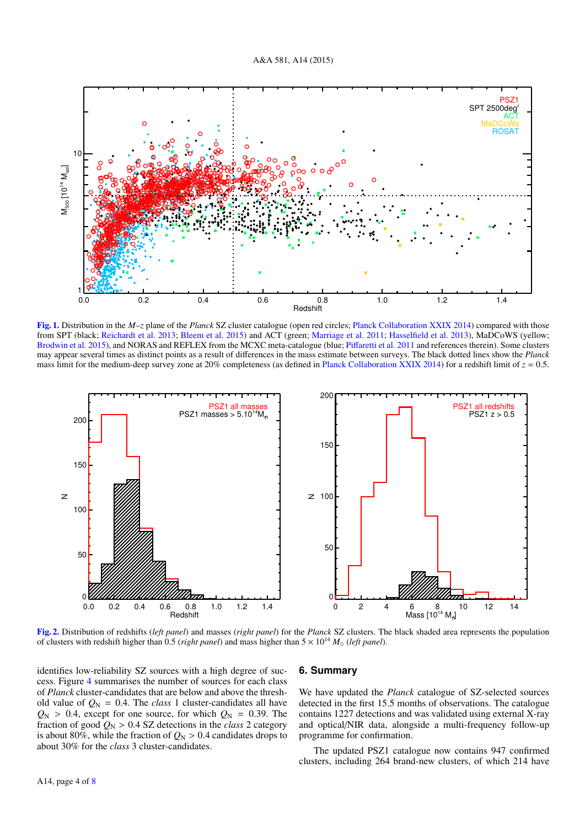<span id="page-3-1"></span>

[Fig. 1.](http://dexter.edpsciences.org/applet.php?DOI=10.1051/0004-6361/201525787&pdf_id=1) Distribution in the *M*–*z* plane of the *Planck* SZ cluster catalogue (open red circles; [Planck Collaboration XXIX](#page-6-1) [2014\)](#page-6-1) compared with those from SPT (black; [Reichardt et al.](#page-6-2) [2013;](#page-6-2) [Bleem et al.](#page-5-0) [2015\)](#page-5-0) and ACT (green; [Marriage et al.](#page-6-3) [2011;](#page-6-3) [Hasselfield et al.](#page-6-4) [2013\)](#page-6-4), MaDCoWS (yellow; [Brodwin et al.](#page-5-3) [2015\)](#page-5-3), and NORAS and REFLEX from the MCXC meta-catalogue (blue; Piff[aretti et al.](#page-6-5) [2011](#page-6-5) and references therein). Some clusters may appear several times as distinct points as a result of differences in the mass estimate between surveys. The black dotted lines show the *Planck* mass limit for the medium-deep survey zone at 20% completeness (as defined in [Planck Collaboration XXIX](#page-6-1) [2014\)](#page-6-1) for a redshift limit of  $z = 0.5$ .

<span id="page-3-0"></span>

[Fig. 2.](http://dexter.edpsciences.org/applet.php?DOI=10.1051/0004-6361/201525787&pdf_id=2) Distribution of redshifts (*left panel*) and masses (*right panel*) for the *Planck* SZ clusters. The black shaded area represents the population of clusters with redshift higher than 0.5 (*right panel*) and mass higher than  $5 \times 10^{14} M_{\odot}$  (*left panel*).

identifies low-reliability SZ sources with a high degree of success. Figure [4](#page-5-4) summarises the number of sources for each class of *Planck* cluster-candidates that are below and above the threshold value of  $Q_N = 0.4$ . The *class* 1 cluster-candidates all have  $Q_N$  > 0.4, except for one source, for which  $Q_N$  = 0.39. The fraction of good  $Q_N > 0.4$  SZ detections in the *class* 2 category is about 80%, while the fraction of  $Q_N > 0.4$  candidates drops to about 30% for the *class* 3 cluster-candidates.

## **6. Summary**

We have updated the *Planck* catalogue of SZ-selected sources detected in the first 15.5 months of observations. The catalogue contains 1227 detections and was validated using external X-ray and optical/NIR data, alongside a multi-frequency follow-up programme for confirmation.

The updated PSZ1 catalogue now contains 947 confirmed clusters, including 264 brand-new clusters, of which 214 have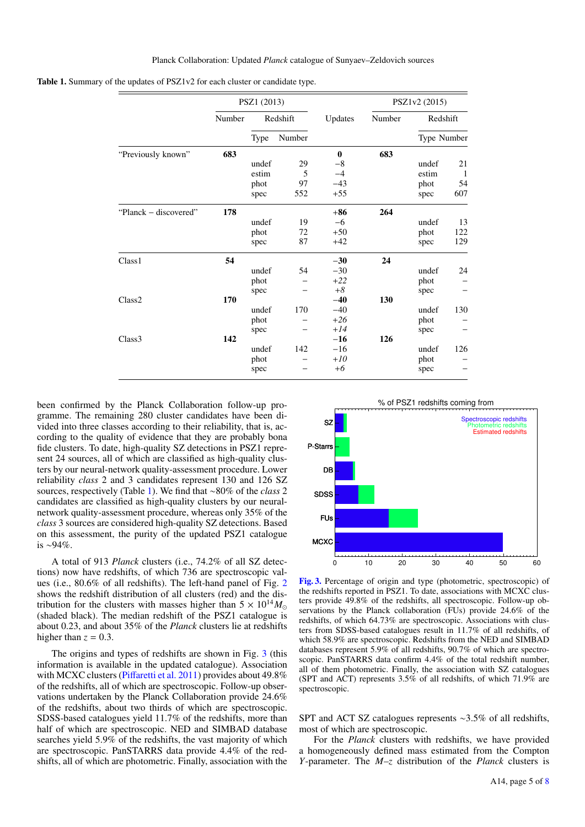<span id="page-4-0"></span>

| Table 1. Summary of the updates of PSZ1v2 for each cluster or candidate type. |
|-------------------------------------------------------------------------------|
|-------------------------------------------------------------------------------|

|                       | PSZ1 (2013) |          |        |             | PSZ1v2 (2015) |             |     |
|-----------------------|-------------|----------|--------|-------------|---------------|-------------|-----|
|                       | Number      | Redshift |        | Updates     | Number        | Redshift    |     |
|                       |             | Type     | Number |             |               | Type Number |     |
| "Previously known"    | 683         |          |        | $\mathbf 0$ | 683           |             |     |
|                       |             | undef    | 29     | $-8$        |               | undef       | 21  |
|                       |             | estim    | 5      | $-4$        |               | estim       | -1  |
|                       |             | phot     | 97     | $-43$       |               | phot        | 54  |
|                       |             | spec     | 552    | $+55$       |               | spec        | 607 |
| "Planck – discovered" | 178         |          |        | $+86$       | 264           |             |     |
|                       |             | undef    | 19     | $-6$        |               | undef       | 13  |
|                       |             | phot     | 72     | $+50$       |               | phot        | 122 |
|                       |             | spec     | 87     | $+42$       |               | spec        | 129 |
| Class <sub>1</sub>    | 54          |          |        | $-30$       | 24            |             |     |
|                       |             | undef    | 54     | $-30$       |               | undef       | 24  |
|                       |             | phot     |        | $+22$       |               | phot        |     |
|                       |             | spec     |        | $+8$        |               | spec        |     |
| Class <sub>2</sub>    | 170         |          |        | $-40$       | 130           |             |     |
|                       |             | undef    | 170    | $-40$       |               | undef       | 130 |
|                       |             | phot     |        | $+26$       |               | phot        |     |
|                       |             | spec     |        | $+14$       |               | spec        |     |
| Class <sub>3</sub>    | 142         |          |        | $-16$       | 126           |             |     |
|                       |             | undef    | 142    | $-16$       |               | undef       | 126 |
|                       |             | phot     |        | $+10$       |               | phot        |     |
|                       |             | spec     |        | $+6$        |               | spec        |     |

been confirmed by the Planck Collaboration follow-up programme. The remaining 280 cluster candidates have been divided into three classes according to their reliability, that is, according to the quality of evidence that they are probably bona fide clusters. To date, high-quality SZ detections in PSZ1 represent 24 sources, all of which are classified as high-quality clusters by our neural-network quality-assessment procedure. Lower reliability *class* 2 and 3 candidates represent 130 and 126 SZ sources, respectively (Table [1\)](#page-4-0). We find that ∼80% of the *class* 2 candidates are classified as high-quality clusters by our neuralnetwork quality-assessment procedure, whereas only 35% of the *class* 3 sources are considered high-quality SZ detections. Based on this assessment, the purity of the updated PSZ1 catalogue is ∼94%.

A total of 913 *Planck* clusters (i.e., 74.2% of all SZ detections) now have redshifts, of which 736 are spectroscopic values (i.e., 80.6% of all redshifts). The left-hand panel of Fig. [2](#page-3-0) shows the redshift distribution of all clusters (red) and the distribution for the clusters with masses higher than  $5 \times 10^{14} M_{\odot}$ (shaded black). The median redshift of the PSZ1 catalogue is about 0.23, and about 35% of the *Planck* clusters lie at redshifts higher than  $z = 0.3$ .

The origins and types of redshifts are shown in Fig. [3](#page-4-1) (this information is available in the updated catalogue). Association with MCXC clusters (Piff[aretti et al.](#page-6-5) [2011\)](#page-6-5) provides about 49.8% of the redshifts, all of which are spectroscopic. Follow-up observations undertaken by the Planck Collaboration provide 24.6% of the redshifts, about two thirds of which are spectroscopic. SDSS-based catalogues yield 11.7% of the redshifts, more than half of which are spectroscopic. NED and SIMBAD database searches yield 5.9% of the redshifts, the vast majority of which are spectroscopic. PanSTARRS data provide 4.4% of the redshifts, all of which are photometric. Finally, association with the

<span id="page-4-1"></span>

[Fig. 3.](http://dexter.edpsciences.org/applet.php?DOI=10.1051/0004-6361/201525787&pdf_id=3) Percentage of origin and type (photometric, spectroscopic) of the redshifts reported in PSZ1. To date, associations with MCXC clusters provide 49.8% of the redshifts, all spectroscopic. Follow-up observations by the Planck collaboration (FUs) provide 24.6% of the redshifts, of which 64.73% are spectroscopic. Associations with clusters from SDSS-based catalogues result in 11.7% of all redshifts, of which 58.9% are spectroscopic. Redshifts from the NED and SIMBAD databases represent 5.9% of all redshifts, 90.7% of which are spectroscopic. PanSTARRS data confirm 4.4% of the total redshift number, all of them photometric. Finally, the association with SZ catalogues (SPT and ACT) represents 3.5% of all redshifts, of which 71.9% are spectroscopic.

SPT and ACT SZ catalogues represents <sup>∼</sup>3.5% of all redshifts, most of which are spectroscopic.

For the *Planck* clusters with redshifts, we have provided a homogeneously defined mass estimated from the Compton *Y*-parameter. The *M*–*z* distribution of the *Planck* clusters is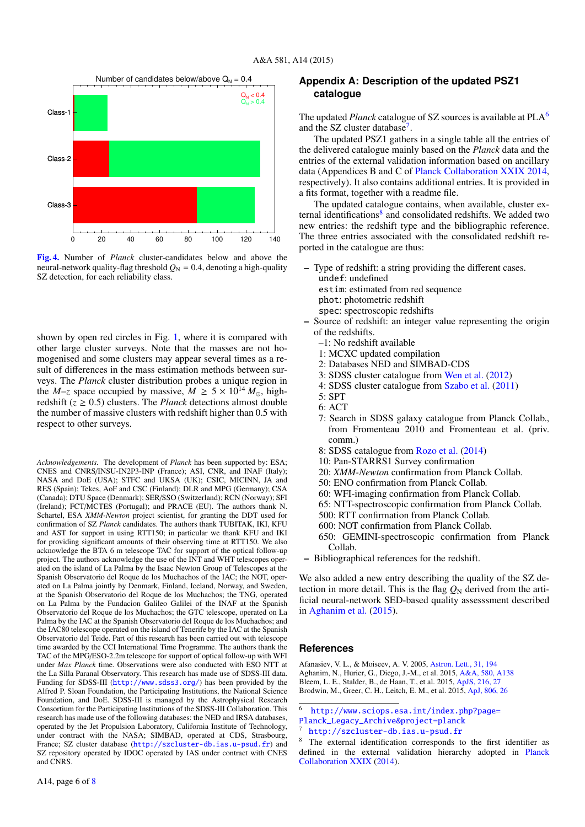<span id="page-5-4"></span>

[Fig. 4.](http://dexter.edpsciences.org/applet.php?DOI=10.1051/0004-6361/201525787&pdf_id=4) Number of *Planck* cluster-candidates below and above the neural-network quality-flag threshold  $Q_N = 0.4$ , denoting a high-quality SZ detection, for each reliability class.

shown by open red circles in Fig. [1,](#page-3-1) where it is compared with other large cluster surveys. Note that the masses are not homogenised and some clusters may appear several times as a result of differences in the mass estimation methods between surveys. The *Planck* cluster distribution probes a unique region in the *M*-*z* space occupied by massive,  $M \ge 5 \times 10^{14} M_{\odot}$ , highredshift ( $z \ge 0.5$ ) clusters. The *Planck* detections almost double the number of massive clusters with redshift higher than 0.5 with respect to other surveys.

*Acknowledgements.* The development of *Planck* has been supported by: ESA; CNES and CNRS/INSU-IN2P3-INP (France); ASI, CNR, and INAF (Italy); NASA and DoE (USA); STFC and UKSA (UK); CSIC, MICINN, JA and RES (Spain); Tekes, AoF and CSC (Finland); DLR and MPG (Germany); CSA (Canada); DTU Space (Denmark); SER/SSO (Switzerland); RCN (Norway); SFI (Ireland); FCT/MCTES (Portugal); and PRACE (EU). The authors thank N. Schartel, ESA *XMM-Newton* project scientist, for granting the DDT used for confirmation of SZ *Planck* candidates. The authors thank TUBITAK, IKI, KFU and AST for support in using RTT150; in particular we thank KFU and IKI for providing significant amounts of their observing time at RTT150. We also acknowledge the BTA 6 m telescope TAC for support of the optical follow-up project. The authors acknowledge the use of the INT and WHT telescopes operated on the island of La Palma by the Isaac Newton Group of Telescopes at the Spanish Observatorio del Roque de los Muchachos of the IAC; the NOT, operated on La Palma jointly by Denmark, Finland, Iceland, Norway, and Sweden, at the Spanish Observatorio del Roque de los Muchachos; the TNG, operated on La Palma by the Fundacion Galileo Galilei of the INAF at the Spanish Observatorio del Roque de los Muchachos; the GTC telescope, operated on La Palma by the IAC at the Spanish Observatorio del Roque de los Muchachos; and the IAC80 telescope operated on the island of Tenerife by the IAC at the Spanish Observatorio del Teide. Part of this research has been carried out with telescope time awarded by the CCI International Time Programme. The authors thank the TAC of the MPG/ESO-2.2m telescope for support of optical follow-up with WFI under *Max Planck* time. Observations were also conducted with ESO NTT at the La Silla Paranal Observatory. This research has made use of SDSS-III data. Funding for SDSS-III (<http://www.sdss3.org/>) has been provided by the Alfred P. Sloan Foundation, the Participating Institutions, the National Science Foundation, and DoE. SDSS-III is managed by the Astrophysical Research Consortium for the Participating Institutions of the SDSS-III Collaboration. This research has made use of the following databases: the NED and IRSA databases, operated by the Jet Propulsion Laboratory, California Institute of Technology, under contract with the NASA; SIMBAD, operated at CDS, Strasbourg, France; SZ cluster database (<http://szcluster-db.ias.u-psud.fr>) and SZ repository operated by IDOC operated by IAS under contract with CNES and CNRS.

# **Appendix A: Description of the updated PSZ1 catalogue**

The updated *Planck* catalogue of SZ sources is available at PLA[6](#page-5-5) and the SZ cluster database<sup>[7](#page-5-6)</sup>.

The updated PSZ1 gathers in a single table all the entries of the delivered catalogue mainly based on the *Planck* data and the entries of the external validation information based on ancillary data (Appendices B and C of [Planck Collaboration XXIX](#page-6-1) [2014,](#page-6-1) respectively). It also contains additional entries. It is provided in a fits format, together with a readme file.

The updated catalogue contains, when available, cluster ex-ternal identifications<sup>[8](#page-5-7)</sup> and consolidated redshifts. We added two new entries: the redshift type and the bibliographic reference. The three entries associated with the consolidated redshift reported in the catalogue are thus:

- Type of redshift: a string providing the different cases.
	- undef: undefined estim: estimated from red sequence
	- phot: photometric redshift
	- spec: spectroscopic redshifts
- Source of redshift: an integer value representing the origin of the redshifts.
	- –1: No redshift available
	- 1: MCXC updated compilation
	- 2: Databases NED and SIMBAD-CDS
	- 3: SDSS cluster catalogue from [Wen et al.](#page-6-6) [\(2012\)](#page-6-6)
	- 4: SDSS cluster catalogue from [Szabo et al.](#page-6-11) [\(2011\)](#page-6-11)
	- 5: SPT
	- 6: ACT
	- 7: Search in SDSS galaxy catalogue from Planck Collab., from Fromenteau 2010 and Fromenteau et al. (priv. comm.)
	- 8: SDSS catalogue from [Rozo et al.](#page-6-9) [\(2014\)](#page-6-9)
	- 10: Pan-STARRS1 Survey confirmation
	- 20: *XMM-Newton* confirmation from Planck Collab.
	- 50: ENO confirmation from Planck Collab.
	- 60: WFI-imaging confirmation from Planck Collab.
	- 65: NTT-spectroscopic confirmation from Planck Collab.
	- 500: RTT confirmation from Planck Collab.
	- 600: NOT confirmation from Planck Collab.
	- 650: GEMINI-spectroscopic confirmation from Planck Collab.
- <span id="page-5-3"></span><span id="page-5-2"></span><span id="page-5-1"></span><span id="page-5-0"></span>– Bibliographical references for the redshift.

<span id="page-5-7"></span><span id="page-5-6"></span><span id="page-5-5"></span>We also added a new entry describing the quality of the SZ detection in more detail. This is the flag  $Q_N$  derived from the artificial neural-network SED-based quality assesssment described in [Aghanim et al.](#page-5-1) [\(2015\)](#page-5-1).

#### **References**

Afanasiev, V. L., & Moiseev, A. V. 2005, [Astron. Lett., 31, 194](http://linker.aanda.org/10.1051/0004-6361/201525787/1) Aghanim, N., Hurier, G., Diego, J.-M., et al. 2015, [A&A, 580, A138](http://linker.aanda.org/10.1051/0004-6361/201525787/2) Bleem, L. E., Stalder, B., de Haan, T., et al. 2015, [ApJS, 216, 27](http://linker.aanda.org/10.1051/0004-6361/201525787/3) Brodwin, M., Greer, C. H., Leitch, E. M., et al. 2015, [ApJ, 806, 26](http://linker.aanda.org/10.1051/0004-6361/201525787/4)

- <sup>6</sup> <http://www.sciops.esa.int/index.php?page=>
- [Planck\\_Legacy\\_Archive&project=planck](Planck_Legacy_Archive&project=planck)

<http://szcluster-db.ias.u-psud.fr>

The external identification corresponds to the first identifier as defined in the external validation hierarchy adopted in [Planck](#page-6-1) [Collaboration XXIX](#page-6-1) [\(2014\)](#page-6-1).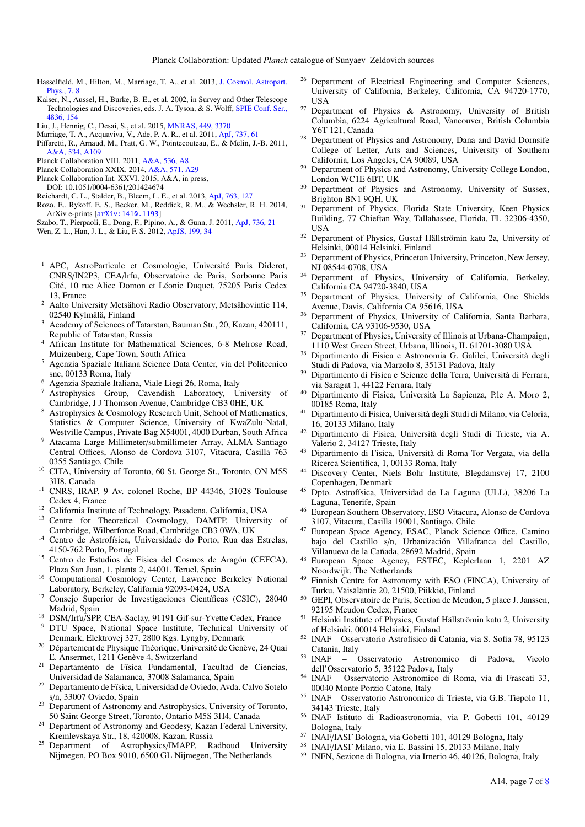- <span id="page-6-11"></span><span id="page-6-10"></span><span id="page-6-9"></span><span id="page-6-8"></span><span id="page-6-7"></span><span id="page-6-5"></span><span id="page-6-4"></span><span id="page-6-3"></span><span id="page-6-2"></span><span id="page-6-1"></span><span id="page-6-0"></span>Hasselfield, M., Hilton, M., Marriage, T. A., et al. 2013, [J. Cosmol. Astropart.](http://linker.aanda.org/10.1051/0004-6361/201525787/5) [Phys., 7, 8](http://linker.aanda.org/10.1051/0004-6361/201525787/5)
- <span id="page-6-6"></span>Kaiser, N., Aussel, H., Burke, B. E., et al. 2002, in Survey and Other Telescope Technologies and Discoveries, eds. J. A. Tyson, & S. Wolff, [SPIE Conf. Ser.,](http://linker.aanda.org/10.1051/0004-6361/201525787/6) [4836, 154](http://linker.aanda.org/10.1051/0004-6361/201525787/6)
- Liu, J., Hennig, C., Desai, S., et al. 2015, [MNRAS, 449, 3370](http://linker.aanda.org/10.1051/0004-6361/201525787/7)
- Marriage, T. A., Acquaviva, V., Ade, P. A. R., et al. 2011, [ApJ, 737, 61](http://linker.aanda.org/10.1051/0004-6361/201525787/8)
- Piffaretti, R., Arnaud, M., Pratt, G. W., Pointecouteau, E., & Melin, J.-B. 2011, [A&A, 534, A109](http://linker.aanda.org/10.1051/0004-6361/201525787/9)
- Planck Collaboration VIII. 2011, [A&A, 536, A8](http://linker.aanda.org/10.1051/0004-6361/201525787/10)
- Planck Collaboration XXIX. 2014, [A&A, 571, A29](http://linker.aanda.org/10.1051/0004-6361/201525787/11)
- Planck Collaboration Int. XXVI. 2015, A&A, in press,
- DOI: 10.1051/0004-6361/201424674
- Reichardt, C. L., Stalder, B., Bleem, L. E., et al. 2013, [ApJ, 763, 127](http://linker.aanda.org/10.1051/0004-6361/201525787/13)
- Rozo, E., Rykoff, E. S., Becker, M., Reddick, R. M., & Wechsler, R. H. 2014, ArXiv e-prints [[arXiv:1410.1193](http://arxiv.org/abs/1410.1193)]
- Szabo, T., Pierpaoli, E., Dong, F., Pipino, A., & Gunn, J. 2011, [ApJ, 736, 21](http://linker.aanda.org/10.1051/0004-6361/201525787/15) Wen, Z. L., Han, J. L., & Liu, F. S. 2012, [ApJS, 199, 34](http://linker.aanda.org/10.1051/0004-6361/201525787/16)
- <sup>1</sup> APC, AstroParticule et Cosmologie, Université Paris Diderot, CNRS/IN2P3, CEA/lrfu, Observatoire de Paris, Sorbonne Paris Cité, 10 rue Alice Domon et Léonie Duquet, 75205 Paris Cedex 13, France
- <sup>2</sup> Aalto University Metsähovi Radio Observatory, Metsähovintie 114, 02540 Kylmälä, Finland
- <sup>3</sup> Academy of Sciences of Tatarstan, Bauman Str., 20, Kazan, 420111, Republic of Tatarstan, Russia
- <sup>4</sup> African Institute for Mathematical Sciences, 6-8 Melrose Road, Muizenberg, Cape Town, South Africa
- <sup>5</sup> Agenzia Spaziale Italiana Science Data Center, via del Politecnico snc, 00133 Roma, Italy
- <sup>6</sup> Agenzia Spaziale Italiana, Viale Liegi 26, Roma, Italy
- <sup>7</sup> Astrophysics Group, Cavendish Laboratory, University of Cambridge, J J Thomson Avenue, Cambridge CB3 0HE, UK
- Astrophysics & Cosmology Research Unit, School of Mathematics, Statistics & Computer Science, University of KwaZulu-Natal, Westville Campus, Private Bag X54001, 4000 Durban, South Africa
- <sup>9</sup> Atacama Large Millimeter/submillimeter Array, ALMA Santiago Central Offices, Alonso de Cordova 3107, Vitacura, Casilla 763 0355 Santiago, Chile
- <sup>10</sup> CITA, University of Toronto, 60 St. George St., Toronto, ON M5S 3H8, Canada
- <sup>11</sup> CNRS, IRAP, 9 Av. colonel Roche, BP 44346, 31028 Toulouse Cedex 4, France
- <sup>12</sup> California Institute of Technology, Pasadena, California, USA
- <sup>13</sup> Centre for Theoretical Cosmology, DAMTP, University of Cambridge, Wilberforce Road, Cambridge CB3 0WA, UK
- <sup>14</sup> Centro de Astrofísica, Universidade do Porto, Rua das Estrelas, 4150-762 Porto, Portugal
- <sup>15</sup> Centro de Estudios de Física del Cosmos de Aragón (CEFCA), Plaza San Juan, 1, planta 2, 44001, Teruel, Spain
- <sup>16</sup> Computational Cosmology Center, Lawrence Berkeley National Laboratory, Berkeley, California 92093-0424, USA
- <sup>17</sup> Consejo Superior de Investigaciones Científicas (CSIC), 28040 Madrid, Spain
- <sup>18</sup> DSM/Irfu/SPP, CEA-Saclay, 91191 Gif-sur-Yvette Cedex, France
- <sup>19</sup> DTU Space, National Space Institute, Technical University of Denmark, Elektrovej 327, 2800 Kgs. Lyngby, Denmark
- <sup>20</sup> Département de Physique Théorique, Université de Genève, 24 Quai E. Ansermet, 1211 Genève 4, Switzerland
- <sup>21</sup> Departamento de Física Fundamental, Facultad de Ciencias, Universidad de Salamanca, 37008 Salamanca, Spain
- <sup>22</sup> Departamento de Física, Universidad de Oviedo, Avda. Calvo Sotelo s/n, 33007 Oviedo, Spain
- <sup>23</sup> Department of Astronomy and Astrophysics, University of Toronto, 50 Saint George Street, Toronto, Ontario M5S 3H4, Canada
- <sup>24</sup> Department of Astronomy and Geodesy, Kazan Federal University, Kremlevskaya Str., 18, 420008, Kazan, Russia
- <sup>25</sup> Department of Astrophysics/IMAPP, Radboud University Nijmegen, PO Box 9010, 6500 GL Nijmegen, The Netherlands
- <sup>26</sup> Department of Electrical Engineering and Computer Sciences, University of California, Berkeley, California, CA 94720-1770, USA
- <sup>27</sup> Department of Physics & Astronomy, University of British Columbia, 6224 Agricultural Road, Vancouver, British Columbia Y6T 121, Canada
- <sup>28</sup> Department of Physics and Astronomy, Dana and David Dornsife College of Letter, Arts and Sciences, University of Southern California, Los Angeles, CA 90089, USA
- <sup>29</sup> Department of Physics and Astronomy, University College London, London WC1E 6BT, UK
- <sup>30</sup> Department of Physics and Astronomy, University of Sussex, Brighton BN1 9QH, UK
- <sup>31</sup> Department of Physics, Florida State University, Keen Physics Building, 77 Chieftan Way, Tallahassee, Florida, FL 32306-4350, USA
- <sup>32</sup> Department of Physics, Gustaf Hällströmin katu 2a, University of Helsinki, 00014 Helsinki, Finland
- <sup>33</sup> Department of Physics, Princeton University, Princeton, New Jersey, NJ 08544-0708, USA
- <sup>34</sup> Department of Physics, University of California, Berkeley, California CA 94720-3840, USA
- <sup>35</sup> Department of Physics, University of California, One Shields Avenue, Davis, California CA 95616, USA
- <sup>36</sup> Department of Physics, University of California, Santa Barbara, California, CA 93106-9530, USA
- Department of Physics, University of Illinois at Urbana-Champaign, 1110 West Green Street, Urbana, Illinois, IL 61701-3080 USA
- <sup>38</sup> Dipartimento di Fisica e Astronomia G. Galilei, Università degli Studi di Padova, via Marzolo 8, 35131 Padova, Italy
- <sup>39</sup> Dipartimento di Fisica e Scienze della Terra, Università di Ferrara, via Saragat 1, 44122 Ferrara, Italy
- <sup>40</sup> Dipartimento di Fisica, Università La Sapienza, P.le A. Moro 2, 00185 Roma, Italy
- <sup>41</sup> Dipartimento di Fisica, Università degli Studi di Milano, via Celoria, 16, 20133 Milano, Italy
- <sup>42</sup> Dipartimento di Fisica, Università degli Studi di Trieste, via A. Valerio 2, 34127 Trieste, Italy
- <sup>43</sup> Dipartimento di Fisica, Università di Roma Tor Vergata, via della Ricerca Scientifica, 1, 00133 Roma, Italy
- <sup>44</sup> Discovery Center, Niels Bohr Institute, Blegdamsvej 17, 2100 Copenhagen, Denmark
- <sup>45</sup> Dpto. Astrofísica, Universidad de La Laguna (ULL), 38206 La Laguna, Tenerife, Spain
- <sup>46</sup> European Southern Observatory, ESO Vitacura, Alonso de Cordova 3107, Vitacura, Casilla 19001, Santiago, Chile
- <sup>47</sup> European Space Agency, ESAC, Planck Science Office, Camino bajo del Castillo s/n, Urbanización Villafranca del Castillo, Villanueva de la Cañada, 28692 Madrid, Spain
- <sup>48</sup> European Space Agency, ESTEC, Keplerlaan 1, 2201 AZ Noordwijk, The Netherlands
- Finnish Centre for Astronomy with ESO (FINCA), University of Turku, Väisäläntie 20, 21500, Piikkiö, Finland
- <sup>50</sup> GEPI, Observatoire de Paris, Section de Meudon, 5 place J. Janssen, 92195 Meudon Cedex, France
- <sup>51</sup> Helsinki Institute of Physics, Gustaf Hällströmin katu 2, University of Helsinki, 00014 Helsinki, Finland
- <sup>52</sup> INAF Osservatorio Astrofisico di Catania, via S. Sofia 78, 95123 Catania, Italy<br>INAF - 0
- <sup>53</sup> INAF Osservatorio Astronomico di Padova, Vicolo dell'Osservatorio 5, 35122 Padova, Italy
- <sup>54</sup> INAF Osservatorio Astronomico di Roma, via di Frascati 33, 00040 Monte Porzio Catone, Italy
- <sup>55</sup> INAF Osservatorio Astronomico di Trieste, via G.B. Tiepolo 11, 34143 Trieste, Italy
- <sup>56</sup> INAF Istituto di Radioastronomia, via P. Gobetti 101, 40129 Bologna, Italy
- <sup>57</sup> INAF/IASF Bologna, via Gobetti 101, 40129 Bologna, Italy
- <sup>58</sup> INAF/IASF Milano, via E. Bassini 15, 20133 Milano, Italy
- <sup>59</sup> INFN, Sezione di Bologna, via Irnerio 46, 40126, Bologna, Italy